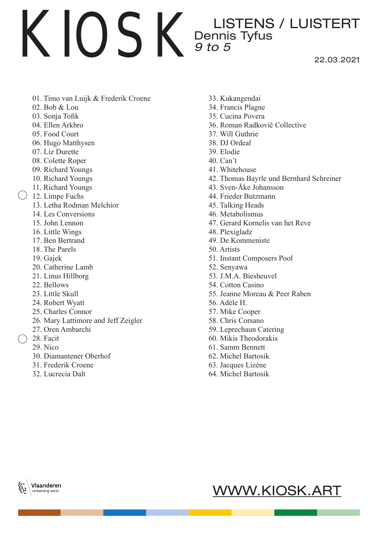22.03.2021

- 01. Timo van Luijk & Frederik Croene
- 02. Bob & Lou
- 03. Sonja Tofik
- 04. Ellen Arkbro
- 05. Food Court
- 06. Hugo Matthysen
- 07. Liz Durette
- 08. Colette Roper
- 09. Richard Youngs
- 10. Richard Youngs
- 11. Richard Youngs
- $( ) 12.$  Limpe Fuchs
	- 13. Letha Rodman Melchior
	- 14. Les Conversions
	- 15. John Lennon
	- 16. Little Wings
	- 17. Ben Bertrand
	- 18. The Parels
	- 19. Gajek
	- 20. Catherine Lamb
	- 21. Linus Hillborg
	- 22. Bellows
	- 23. Little Skull
	- 24. Robert Wyatt
	- 25. Charles Connor
	- 26. Mary Lattimore and Jeff Zeigler
	- 27. Oren Ambarchi
	- $\bigcirc$  28 Facit
		- 29. Nico
		- 30. Diamantener Oberhof
		- 31. Frederik Croene
		- 32. Lucrecia Dalt
- 33. Kukangendai
- 34. Francis Plagne
- 35. Cucina Povera
- 36. Roman Radkovič Collective
- 37. Will Guthrie
- 38. DJ Ordeal
- 39. Elodie
- 40. Can't
- 41. Whitehouse
- 42. Thomas Bayrle und Bernhard Schreiner
- 43. Sven-Åke Johansson
- 44. Frieder Butzmann
- 45. Talking Heads
- 46. Metabolismus
- 47. Gerard Kornelis van het Reve
- 48. Plexigladz
- 49. De Kommeniste
- 50. Artists
- 51. Instant Composers Pool
- 52. Senyawa
- 53. J.M.A. Biesheuvel
- 54. Cotton Casino
- 55. Jeanne Moreau & Peer Raben
- 56. Adèle H.
- 57. Mike Cooper
- 58. Chris Corsano
- 59. Leprechaun Catering
- 60. Mikis Theodorakis
- 61. Samm Bennett
- 62. Michel Bartosik
- 63. Jacques Lizène
- 64. Michel Bartosik



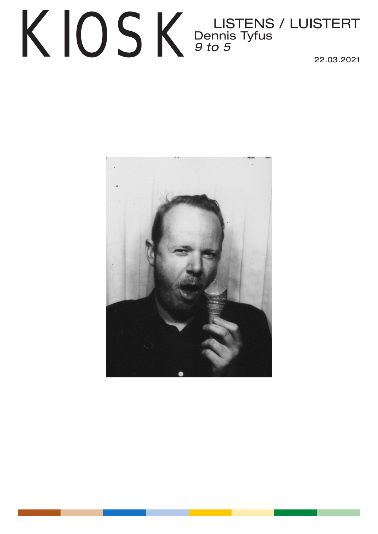## KIOSK Dennis Tyfus<br>22.03.2021 Dennis Tyfus *9 to 5*  22.03.2021

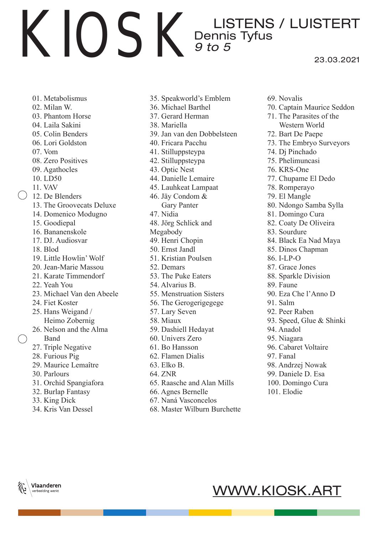#### KIOSK LISTENS / LUISTERT Dennis Tyfus *9 to 5*  23.03.2021

- 01. Metabolismus
- 02. Milan W.
- 03. Phantom Horse
- 04. Laila Sakini
- 05. Colin Benders
- 06. Lori Goldston
- 07. Vom
- 08. Zero Positives
- 09. Agathocles
- 10. LD50
- 11. VAV
- 12. De Blenders
	- 13. The Groovecats Deluxe
	- 14. Domenico Modugno
	- 15. Goodiepal
	- 16. Bananenskole
	- 17. DJ. Audiosvar
	- 18. Blod
	- 19. Little Howlin' Wolf
	- 20. Jean-Marie Massou
	- 21. Karate Timmendorf
	- 22. Yeah You
	- 23. Michael Van den Abeele
	- 24. Fiet Koster
	- 25. Hans Weigand / Heimo Zobernig
	- 26. Nelson and the Alma
	- Band
	- 27. Triple Negative
	- 28. Furious Pig
	- 29. Maurice Lemaître
	- 30. Parlours
	- 31. Orchid Spangiafora
	- 32. Burlap Fantasy
	- 33. King Dick

Vlaanderen verbeelding werkt

34. Kris Van Dessel

- 35. Speakworld's Emblem
- 36. Michael Barthel
- 37. Gerard Herman
- 38. Mariella
- 39. Jan van den Dobbelsteen
- 40. Fricara Pacchu
- 41. Stilluppsteypa
- 42. Stilluppsteypa
- 43. Optic Nest
- 44. Danielle Lemaire
- 45. Lauhkeat Lampaat
- 46. Jäy Condom &
- Gary Panter
- 47. Nidia
- 48. Jörg Schlick and
- Megabody
- 49. Henri Chopin
- 50. Ernst Jandl
- 51. Kristian Poulsen
- 52. Demars
- 53. The Puke Eaters
- 54. Alvarius B.
- 55. Menstruation Sisters
- 56. The Gerogerigegege
- 57. Lary Seven
- 58. Miaux
- 59. Dashiell Hedayat
- 60. Univers Zero
- 61. Bo Hansson
- 62. Flamen Dialis
- 63. Elko B.
- 64. ZNR
- 65. Raasche and Alan Mills
- 66. Agnes Bernelle
- 67. Naná Vasconcelos
- 68. Master Wilburn Burchette
- 69. Novalis
- 70. Captain Maurice Seddon
- 71. The Parasites of the Western World
- 72. Bart De Paepe
- 73. The Embryo Surveyors
- 74. Dj Pinchado
- 75. Phelimuncasi
- 76. KRS-One
- 77. Chupame El Dedo
- 78. Romperayo
- 79. El Mangle
- 80. Ndongo Samba Sylla
- 81. Domingo Cura
- 82. Coaty De Oliveira
- 83. Sourdure
- 84. Black Ea Nad Maya
- 85. Dinos Chapman
- 86. I-LP-O
- 87. Grace Jones
- 88. Sparkle Division
- 89. Faune
- 90. Eza Che l'Anno D
- 91. Salm
- 92. Peer Raben
- 93. Speed, Glue & Shinki
- 94. Anadol
- 95. Niagara

97. Fanal

101. Elodie

WWW.KIOSK.ART

96. Cabaret Voltaire

98. Andrzej Nowak 99. Daniele D. Esa 100. Domingo Cura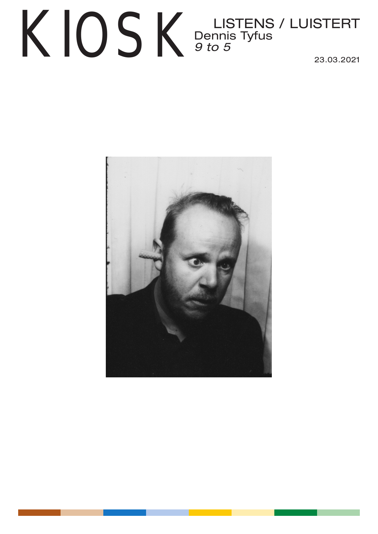## $\text{KIO}$   $\text{K}$  Dennis Tyfus / LUISTERT Dennis Tyfus *9 to 5*  23.03.2021

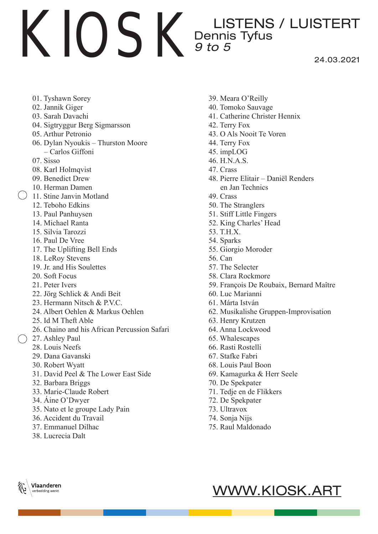24.03.2021

- 01. Tyshawn Sorey
- 02. Jannik Giger
- 03. Sarah Davachi
- 04. Sigtryggur Berg Sigmarsson
- 05. Arthur Petronio
- 06. Dylan Nyoukis Thurston Moore – Carlos Giffoni
- 07. Sisso
- 08. Karl Holmqvist
- 09. Benedict Drew
- 10. Herman Damen
- $( ) 11.$  Stine Janvin Motland
	- 12. Teboho Edkins
	- 13. Paul Panhuysen
	- 14. Michael Ranta
	- 15. Silvia Tarozzi
	- 16. Paul De Vree
	- 17. The Uplifting Bell Ends
	- 18. LeRoy Stevens
	- 19. Jr. and His Soulettes
	- 20. Soft Focus
	- 21. Peter Ivers
	- 22. Jörg Schlick & Andi Beit
	- 23. Hermann Nitsch & P.V.C.
	- 24. Albert Oehlen & Markus Oehlen
	- 25. Id M Theft Able
	- 26. Chaino and his African Percussion Safari
	- 27. Ashley Paul
		- 28. Louis Neefs
		- 29. Dana Gavanski
		- 30. Robert Wyatt
		- 31. David Peel & The Lower East Side
		- 32. Barbara Briggs
		- 33. Marie-Claude Robert
		- 34. Áine O'Dwyer
		- 35. Nato et le groupe Lady Pain
		- 36. Accident du Travail
		- 37. Emmanuel Dilhac
		- 38. Lucrecia Dalt
- 39. Meara O'Reilly
- 40. Tomoko Sauvage
- 41. Catherine Christer Hennix
- 42. Terry Fox
- 43. O Als Nooit Te Voren
- 44. Terry Fox
- 45. impLOG
- 46. H.N.A.S.
- 47. Crass
- 48. Pierre Elitair Daniël Renders en Jan Technics
- 49. Crass
- 50. The Stranglers
- 51. Stiff Little Fingers
- 52. King Charles' Head
- 53. T.H.X.
- 54. Sparks
- 55. Giorgio Moroder
- 56. Can
- 57. The Selecter
- 58. Clara Rockmore
- 59. François De Roubaix, Bernard Maître
- 60. Luc Marianni
- 61. Márta István
- 62. Musikalishe Gruppen-Improvisation
- 63. Henry Krutzen
- 64. Anna Lockwood
- 65. Whalescapes
- 66. Rasti Rostelli
- 67. Stafke Fabri
- 68. Louis Paul Boon
- 69. Kamagurka & Herr Seele
- 70. De Spekpater
- 71. Tedje en de Flikkers
- 72. De Spekpater
- 73. Ultravox
- 74. Sonja Nijs
- 75. Raul Maldonado
	- WWW.KIOSK.ART



#### verbeelding werkt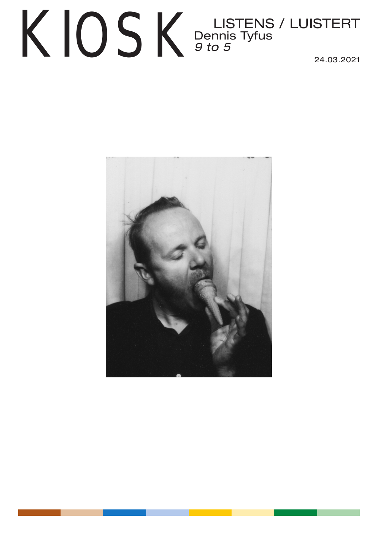## KIOSK Dennis Tyfus<br>24.03.2021 Dennis Tyfus *9 to 5*  24.03.2021

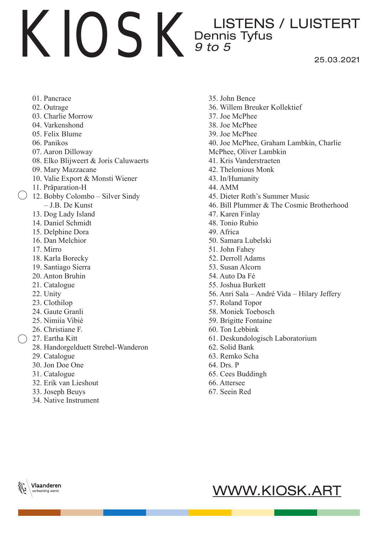25.03.2021

- 01. Pancrace
- 02. Outrage
- 03. Charlie Morrow
- 04. Varkenshond
- 05. Felix Blume
- 06. Panikos
- 07. Aaron Dilloway
- 08. Elko Blijweert & Joris Caluwaerts
- 09. Mary Mazzacane
- 10. Valie Export & Monsti Wiener
- 11. Präparation-H
- 12. Bobby Colombo Silver Sindy
	- J.B. De Kunst
	- 13. Dog Lady Island
	- 14. Daniel Schmidt
	- 15. Delphine Dora
	- 16. Dan Melchior
	- 17. Mirro
	- 18. Karla Borecky
	- 19. Santiago Sierra
	- 20. Anton Bruhin
	- 21. Catalogue
	- 22. Unity
	- 23. Clothilop
	- 24. Gaute Granli
	- 25. Nimiia Vibié
	- 26. Christiane F.
- 27. Eartha Kitt
	- 28. Handorgelduett Strebel-Wanderon
	- 29. Catalogue
	- 30. Jon Doe One
	- 31. Catalogue
	- 32. Erik van Lieshout
	- 33. Joseph Beuys
	- 34. Native Instrument
- 35. John Bence
- 36. Willem Breuker Kollektief
- 37. Joe McPhee
- 38. Joe McPhee
- 39. Joe McPhee
- 40. Joe McPhee, Graham Lambkin, Charlie
- McPhee, Oliver Lambkin
- 41. Kris Vanderstraeten
- 42. Thelonious Monk
- 43. In/Humanity
- 44. AMM
- 45. Dieter Roth's Summer Music
- 46. Bill Plummer & The Cosmic Brotherhood
- 47. Karen Finlay
- 48. Tonio Rubio
- 49. Africa
- 50. Samara Lubelski
- 51. John Fahey
- 52. Derroll Adams
- 53. Susan Alcorn
- 54. Auto Da Fé
- 55. Joshua Burkett
- 56. Anri Sala André Vida Hilary Jeffery
- 57. Roland Topor
- 58. Moniek Toebosch
- 59. Brigitte Fontaine
- 60. Ton Lebbink
- 61. Deskundologisch Laboratorium
- 62. Solid Bank
- 63. Remko Scha
- 64. Drs. P
- 65. Cees Buddingh
- 66. Attersee
- 67. Seein Red



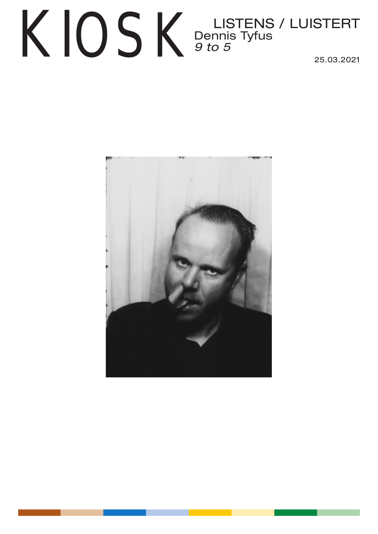## $\text{KIO}$   $\text{K}$  Dennis Tyfus / LUISTERT Dennis Tyfus *9 to 5*  25.03.2021

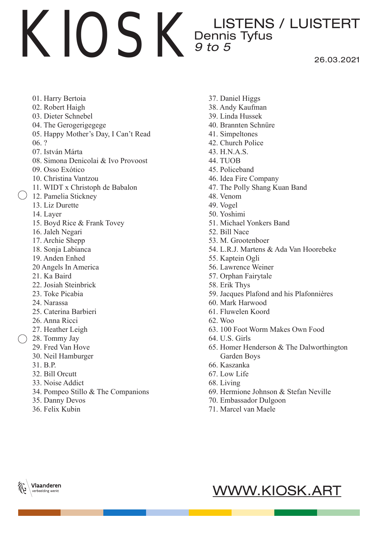26.03.2021

- 01. Harry Bertoia
- 02. Robert Haigh
- 03. Dieter Schnebel
- 04. The Gerogerigegege
- 05. Happy Mother's Day, I Can't Read
- 06. ?
- 07. István Márta
- 08. Simona Denicolai & Ivo Provoost
- 09. Osso Exótico
- 10. Christina Vantzou
- 11. WIDT x Christoph de Babalon
- ( ) 12. Pamelia Stickney
	- 13. Liz Durette
	- 14. Layer
	- 15. Boyd Rice & Frank Tovey
	- 16. Jaleh Negari
	- 17. Archie Shepp
	- 18. Sonja Labianca
	- 19. Anden Enhed
	- 20 Angels In America
	- 21. Ka Baird
	- 22. Josiah Steinbrick
	- 23. Toke Picabia
	- 24. Narassa
	- 25. Caterina Barbieri
	- 26. Anna Ricci
	- 27. Heather Leigh
	- 28. Tommy Jay
		- 29. Fred Van Hove
		- 30. Neil Hamburger
		- 31. B.P.
		- 32. Bill Orcutt
		- 33. Noise Addict
		- 34. Pompeo Stillo & The Companions
		- 35. Danny Devos
		- 36. Felix Kubin
- 37. Daniel Higgs
- 38. Andy Kaufman
- 39. Linda Hussek
- 40. Brannten Schnüre
- 41. Simpeltones
- 42. Church Police
- 43. H.N.A.S.
- 44. TUOB
- 45. Policeband
- 46. Idea Fire Company
- 47. The Polly Shang Kuan Band
- 48. Venom
- 49. Vogel
- 50. Yoshimi
- 51. Michael Yonkers Band
- 52. Bill Nace
- 53. M. Grootenboer
- 54. L.R.J. Martens & Ada Van Hoorebeke
- 55. Kaptein Ogli
- 56. Lawrence Weiner
- 57. Orphan Fairytale
- 58. Erik Thys
- 59. Jacques Plafond and his Plafonnières
- 60. Mark Harwood
- 61. Fluwelen Koord
- 62. Woo
- 63. 100 Foot Worm Makes Own Food
- 64. U.S. Girls
- 65. Homer Henderson & The Dalworthington Garden Boys
- 66. Kaszanka
- 67. Low Life
- 68. Living
- 69. Hermione Johnson & Stefan Neville
- 70. Embassador Dulgoon
- 71. Marcel van Maele